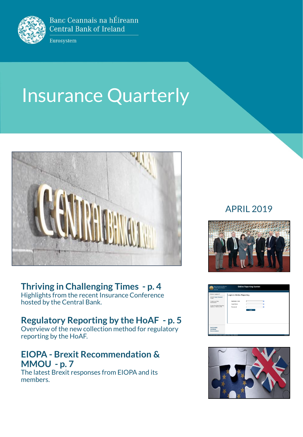

Banc Ceannais na hÉireann **Central Bank of Ireland** 

Eurosystem

# **Insurance Quarterly**



## **Thriving in Challenging Times - p. 4**

Highlights from the recent Insurance Conference hosted by the Central Bank.

## **Regulatory Reporting by the HoAF - p. 5**

Overview of the new collection method for regulatory reporting by the HoAF.

## **EIOPA - Brexit Recommendation & MMOU - p. 7**

The latest Brexit responses from EIOPA and its members.

### APRIL 2019





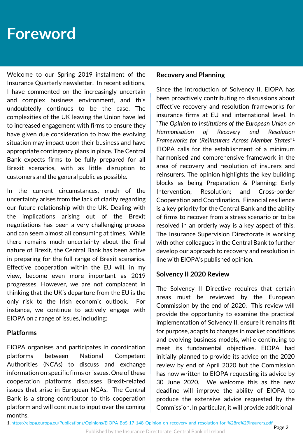## **Foreword**

Welcome to our Spring 2019 instalment of the Insurance Quarterly newsletter. In recent editions, I have commented on the increasingly uncertain and complex business environment, and this undoubtedly continues to be the case. The complexities of the UK leaving the Union have led to increased engagement with firms to ensure they have given due consideration to how the evolving situation may impact upon their business and have appropriate contingency plans in place. The Central Bank expects firms to be fully prepared for all Brexit scenarios, with as little disruption to customers and the general public as possible.

In the current circumstances, much of the uncertainty arises from the lack of clarity regarding our future relationship with the UK. Dealing with the implications arising out of the Brexit negotiations has been a very challenging process and can seem almost all consuming at times. While there remains much uncertainty about the final nature of Brexit, the Central Bank has been active in preparing for the full range of Brexit scenarios. Effective cooperation within the EU will, in my view, become even more important as 2019 progresses. However, we are not complacent in thinking that the UK's departure from the EU is the only risk to the Irish economic outlook. For instance, we continue to actively engage with EIOPA on a range of issues, including:

#### **Platforms**

EIOPA organises and participates in coordination platforms between National Competent Authorities (NCAs) to discuss and exchange information on specific firms or issues. One of these cooperation platforms discusses Brexit-related issues that arise in European NCAs. The Central Bank is a strong contributor to this cooperation platform and will continue to input over the coming months.

#### **Recovery and Planning**

Since the introduction of Solvency II, EIOPA has been proactively contributing to discussions about effective recovery and resolution frameworks for insurance firms at EU and international level. In "*The Opinion to Institutions of the European Union on Harmonisation of Recovery and Resolution Frameworks for (Re)Insurers Across Member States*" 1 EIOPA calls for the establishment of a minimum harmonised and comprehensive framework in the area of recovery and resolution of insurers and reinsurers. The opinion highlights the key building blocks as being Preparation & Planning; Early Intervention; Resolution; and Cross-border Cooperation and Coordination. Financial resilience is a key priority for the Central Bank and the ability of firms to recover from a stress scenario or to be resolved in an orderly way is a key aspect of this. The Insurance Supervision Directorate is working with other colleagues in the Central Bank to further develop our approach to recovery and resolution in line with EIOPA's published opinion.

#### **Solvency II 2020 Review**

The Solvency II Directive requires that certain areas must be reviewed by the European Commission by the end of 2020. This review will provide the opportunity to examine the practical implementation of Solvency II, ensure it remains fit for purpose, adapts to changes in market conditions and evolving business models, while continuing to meet its fundamental objectives. EIOPA had initially planned to provide its advice on the 2020 review by end of April 2020 but the Commission has now written to EIOPA requesting its advice by 30 June 2020. We welcome this as the new deadline will improve the ability of EIOPA to produce the extensive advice requested by the Commission. In particular, it will provide additional

1. [https://eiopa.europa.eu/Publications/Opinions/EIOPA-BoS-17-148\\_Opinion\\_on\\_recovery\\_and\\_resolution\\_for\\_%28re%29insurers.pdf](https://eiopa.europa.eu/Publications/Opinions/EIOPA-BoS-17-148_Opinion_on_recovery_and_resolution_for_(re)insurers.pdf)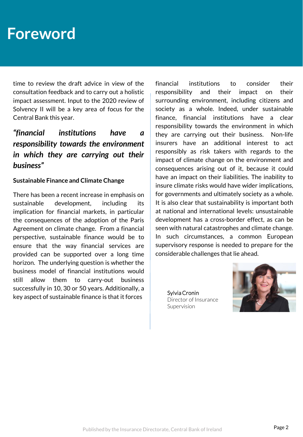## **Foreword**

time to review the draft advice in view of the consultation feedback and to carry out a holistic impact assessment. Input to the 2020 review of Solvency II will be a key area of focus for the Central Bank this year.

### *"financial institutions have a responsibility towards the environment in which they are carrying out their business"*

#### **Sustainable Finance and Climate Change**

There has been a recent increase in emphasis on sustainable development, including its implication for financial markets, in particular the consequences of the adoption of the Paris Agreement on climate change. From a financial perspective, sustainable finance would be to ensure that the way financial services are provided can be supported over a long time horizon. The underlying question is whether the business model of financial institutions would still allow them to carry-out business successfully in 10, 30 or 50 years. Additionally, a key aspect of sustainable finance is that it forces

financial institutions to consider their responsibility and their impact on their surrounding environment, including citizens and society as a whole. Indeed, under sustainable finance, financial institutions have a clear responsibility towards the environment in which they are carrying out their business. Non-life insurers have an additional interest to act responsibly as risk takers with regards to the impact of climate change on the environment and consequences arising out of it, because it could have an impact on their liabilities. The inability to insure climate risks would have wider implications, for governments and ultimately society as a whole. It is also clear that sustainability is important both at national and international levels: unsustainable development has a cross-border effect, as can be seen with natural catastrophes and climate change. In such circumstances, a common European supervisory response is needed to prepare for the considerable challenges that lie ahead.

Sylvia Cronin Director of Insurance Supervision

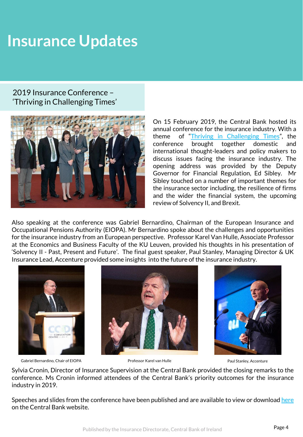# **Insurance Updates**

#### 2019 Insurance Conference – 'Thriving in Challenging Times'



On 15 February 2019, the Central Bank hosted its annual conference for the insurance industry. With a theme of "Thriving in [Challenging](https://www.centralbank.ie/events/event-detail/2019/02/15/default-calendar/2019-insurance-conference-thriving-in-challenging-times) Times", the conference brought together domestic and international thought-leaders and policy makers to discuss issues facing the insurance industry. The opening address was provided by the Deputy Governor for Financial Regulation, Ed Sibley. Mr Sibley touched on a number of important themes for the insurance sector including, the resilience of firms and the wider the financial system, the upcoming review of Solvency II, and Brexit.

Also speaking at the conference was Gabriel Bernardino, Chairman of the European Insurance and Occupational Pensions Authority (EIOPA). Mr Bernardino spoke about the challenges and opportunities for the insurance industry from an European perspective. Professor Karel Van Hulle, Associate Professor at the Economics and Business Faculty of the KU Leuven, provided his thoughts in his presentation of 'Solvency II - Past, Present and Future'. The final guest speaker, Paul Stanley, Managing Director & UK Insurance Lead, Accenture provided some insights into the future of the insurance industry.



Gabriel Bernardino, Chair of EIOPA Professor Karel van Hulle Paul Stanley, Accenture





Sylvia Cronin, Director of Insurance Supervision at the Central Bank provided the closing remarks to the conference. Ms Cronin informed attendees of the Central Bank's priority outcomes for the insurance industry in 2019.

Speeches and slides from the conference have been published and are available to view or download [here](https://www.centralbank.ie/events/event-detail/2019/02/15/default-calendar/2019-insurance-conference-thriving-in-challenging-times) on the Central Bank website.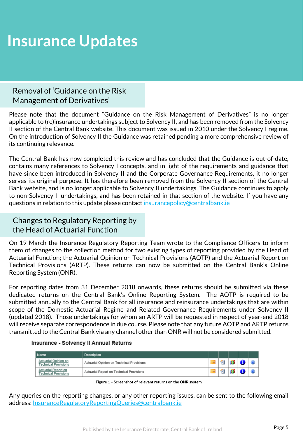# **Insurance Updates**

#### Removal of 'Guidance on the Risk Management of Derivatives'

Please note that the document "Guidance on the Risk Management of Derivatives" is no longer applicable to (re)insurance undertakings subject to Solvency II, and has been removed from the Solvency II section of the Central Bank website. This document was issued in 2010 under the Solvency I regime. On the introduction of Solvency II the Guidance was retained pending a more comprehensive review of its continuing relevance.

The Central Bank has now completed this review and has concluded that the Guidance is out-of-date, contains many references to Solvency I concepts, and in light of the requirements and guidance that have since been introduced in Solvency II and the Corporate Governance Requirements, it no longer serves its original purpose. It has therefore been removed from the Solvency II section of the Central Bank website, and is no longer applicable to Solvency II undertakings. The Guidance continues to apply to non-Solvency II undertakings, and has been retained in that section of the website. If you have any questions in relation to this update please contact [insurancepolicy@centralbank.ie](mailto:insurancepolicy@centralbank.ie)

#### Changes to Regulatory Reporting by the Head of Actuarial Function

On 19 March the Insurance Regulatory Reporting Team wrote to the Compliance Officers to inform them of changes to the collection method for two existing types of reporting provided by the Head of Actuarial Function; the Actuarial Opinion on Technical Provisions (AOTP) and the Actuarial Report on Technical Provisions (ARTP). These returns can now be submitted on the Central Bank's Online Reporting System (ONR).

For reporting dates from 31 December 2018 onwards, these returns should be submitted via these dedicated returns on the Central Bank's Online Reporting System. The AOTP is required to be submitted annually to the Central Bank for all insurance and reinsurance undertakings that are within scope of the Domestic Actuarial Regime and Related Governance Requirements under Solvency II (updated 2018). Those undertakings for whom an ARTP will be requested in respect of year-end 2018 will receive separate correspondence in due course. Please note that any future AOTP and ARTP returns transmitted to the Central Bank via any channel other than ONR will not be considered submitted.

#### **Insurance - Solvency II Annual Returns**

| <b>Name</b>                                               | <b>Description</b>                        |          |   |     |  |
|-----------------------------------------------------------|-------------------------------------------|----------|---|-----|--|
| Actuarial Opinion on<br><b>Technical Provisions</b>       | Actuarial Opinion on Technical Provisions | <b>P</b> | 匎 | -88 |  |
| <b>Actuarial Report on</b><br><b>Technical Provisions</b> | Actuarial Report on Technical Provisions  |          | ⋐ |     |  |

**Figure 1 – Screenshot of relevant returns on the ONR system**

Any queries on the reporting changes, or any other reporting issues, can be sent to the following email address: [InsuranceRegulatoryReportingQueries@centralbank.ie](mailto:InsuranceRegulatoryReportingQueries@centralbank.ie)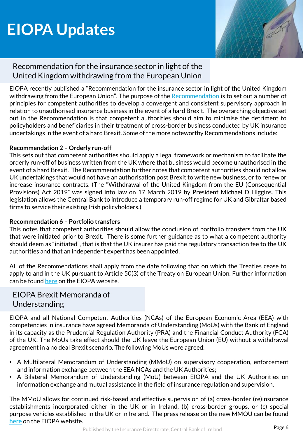# **EIOPA Updates**



#### Recommendation for the insurance sector in light of the United Kingdom withdrawing from the European Union

EIOPA recently published a "Recommendation for the insurance sector in light of the United Kingdom withdrawing from the European Union". The purpose of the [Recommendation](https://eiopa.europa.eu/Publications/Press Releases/EIOPA calls upon national supervisory authorities to minimise the detriment to insurance policy holders and beneficiaries.pdf) is to set out a number of principles for competent authorities to develop a convergent and consistent supervisory approach in relation to unauthorised insurance business in the event of a hard Brexit. The overarching objective set out in the Recommendation is that competent authorities should aim to minimise the detriment to policyholders and beneficiaries in their treatment of cross-border business conducted by UK insurance undertakings in the event of a hard Brexit. Some of the more noteworthy Recommendations include:

#### **Recommendation 2 – Orderly run-off**

This sets out that competent authorities should apply a legal framework or mechanism to facilitate the orderly run-off of business written from the UK where that business would become unauthorised in the event of a hard Brexit. The Recommendation further notes that competent authorities should not allow UK undertakings that would not have an authorisation post Brexit to write new business, or to renew or increase insurance contracts. (The "Withdrawal of the United Kingdom from the EU (Consequential Provisions) Act 2019" was signed into law on 17 March 2019 by President Michael D Higgins. This legislation allows the Central Bank to introduce a temporary run-off regime for UK and Gibraltar based firms to service their existing Irish policyholders.)

#### **Recommendation 6 – Portfolio transfers**

This notes that competent authorities should allow the conclusion of portfolio transfers from the UK that were initiated prior to Brexit. There is some further guidance as to what a competent authority should deem as "initiated", that is that the UK insurer has paid the regulatory transaction fee to the UK authorities and that an independent expert has been appointed.

All of the Recommendations shall apply from the date following that on which the Treaties cease to apply to and in the UK pursuant to Article 50(3) of the Treaty on European Union. Further information can be found [here](https://eiopa.europa.eu/Publications/Standards/EIOPA-BoS-19-040_Recommendation_Brexit_final.pdf) on the EIOPA website.

### EIOPA Brexit Memoranda of Understanding

EIOPA and all National Competent Authorities (NCAs) of the European Economic Area (EEA) with competencies in insurance have agreed Memoranda of Understanding (MoUs) with the Bank of England in its capacity as the Prudential Regulation Authority (PRA) and the Financial Conduct Authority (FCA) of the UK. The MoUs take effect should the UK leave the European Union (EU) without a withdrawal agreement in a no deal Brexit scenario. The following MoUs were agreed:

- A Multilateral Memorandum of Understanding (MMoU) on supervisory cooperation, enforcement and information exchange between the EEA NCAs and the UK Authorities;
- A Bilateral Memorandum of Understanding (MoU) between EIOPA and the UK Authorities on information exchange and mutual assistance in the field of insurance regulation and supervision.

The MMoU allows for continued risk-based and effective supervision of (a) cross-border (re)insurance establishments incorporated either in the UK or in Ireland, (b) cross-border groups, or (c) special purpose vehicles established in the UK or in Ireland. The press release on the new MMOU can be found [here](https://eiopa.europa.eu/Publications/Press Releases/2019-03-05 PressReleaseInsuranceMoUsNoDealBrexitScenario.pdf) on the EIOPA website.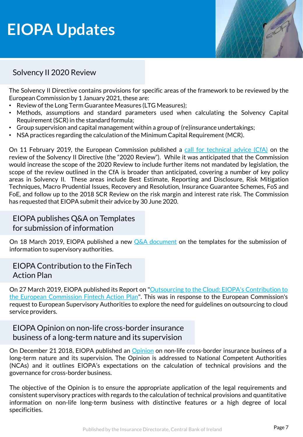# **EIOPA Updates**



### Solvency II 2020 Review

The Solvency II Directive contains provisions for specific areas of the framework to be reviewed by the European Commission by 1 January 2021, these are:

- Review of the Long Term Guarantee Measures (LTG Measures);
- Methods, assumptions and standard parameters used when calculating the Solvency Capital Requirement(SCR) in the standard formula;
- Group supervision and capital management within a group of (re)insurance undertakings;
- NSA practices regarding the calculation of the Minimum Capital Requirement (MCR).

On 11 February 2019, the European Commission published a call for [technical](https://eiopa.europa.eu/Publications/Requests for advice/RH_SRAnnex - CfA 2020 SII review.pdf?_cldee=YXR0cmFjdGEuamVubmluZ3NAY2VudHJhbGJhbmsuaWU%3d&recipientid=contact-5eb81e4ef8b0e61180f35065f38bc571-4f1cde58f6524bd9b223cb7bfe882cdc&utm_source=ClickDimensions&utm_medium=email&utm_campaign=InsurInsights&esid=ae4693a6-5d4a-e911-a962-000d3ab6d103) advice (CfA) on the review of the Solvency II Directive (the "2020 Review"). While it was anticipated that the Commission would increase the scope of the 2020 Review to include further items not mandated by legislation, the scope of the review outlined in the CfA is broader than anticipated, covering a number of key policy areas in Solvency II. These areas include Best Estimate, Reporting and Disclosure, Risk Mitigation Techniques, Macro Prudential Issues, Recovery and Resolution, Insurance Guarantee Schemes, FoS and FoE, and follow up to the 2018 SCR Review on the risk margin and interest rate risk. The Commission has requested that EIOPA submit their advice by 30 June 2020.

#### EIOPA publishes Q&A on Templates for submission of information

On 18 March 2019, EIOPA published a new **Q&A** [document](https://eiopa.europa.eu/Pages/Consultations/Answers-to-(EU)-No-2015-2450-templates-for-the-submission-of-information-to-the-supervisory-authorities.aspx) on the templates for the submission of information to supervisory authorities.

#### EIOPA Contribution to the FinTech Action Plan

On 27 March 2019, EIOPA published its Report on "Outsourcing to the Cloud: EIOPA's Contribution to the European Commission Fintech Action Plan". This was in response to the European [Commission's](https://eiopa.europa.eu/Publications/EIOPA Outsourcing to the cloud_Contribution to Fintech action plan.pdf) request to European Supervisory Authorities to explore the need for guidelines on outsourcing to cloud service providers.

#### EIOPA Opinion on non-life cross-border insurance business of a long-term nature and its supervision

On December 21 2018, EIOPA published an [Opinion](https://eiopa.europa.eu/Publications/Opinions/2018-12-21 OpinionNon-LifeCross-BorderInsuranceBusinessSigned.pdf) on non-life cross-border insurance business of a long-term nature and its supervision. The Opinion is addressed to National Competent Authorities (NCAs) and it outlines EIOPA's expectations on the calculation of technical provisions and the governance for cross-border business.

The objective of the Opinion is to ensure the appropriate application of the legal requirements and consistent supervisory practices with regards to the calculation of technical provisions and quantitative information on non-life long-term business with distinctive features or a high degree of local specificities.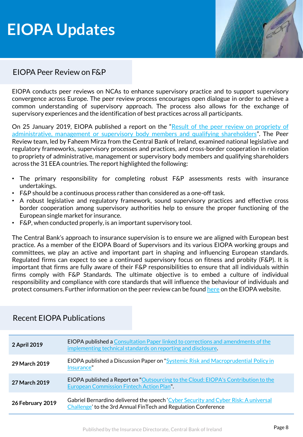# **EIOPA Updates**



### EIOPA Peer Review on F&P

EIOPA conducts peer reviews on NCAs to enhance supervisory practice and to support supervisory convergence across Europe. The peer review process encourages open dialogue in order to achieve a common understanding of supervisory approach. The process also allows for the exchange of supervisory experiences and the identification of best practices across all participants.

On 25 January 2019, EIOPA published a report on the "Result of the peer review on propriety of [administrative,](https://eiopa.europa.eu/Publications/Reports/2019-01025 PeerReviewProprietyReport.pdf) management or supervisory body members and qualifying shareholders". The Peer Review team, led by Faheem Mirza from the Central Bank of Ireland, examined national legislative and regulatory frameworks, supervisory processes and practices, and cross-border cooperation in relation to propriety of administrative, management or supervisory body members and qualifying shareholders across the 31 EEA countries. The report highlighted the following:

- The primary responsibility for completing robust F&P assessments rests with insurance undertakings.
- F&P should be a continuous process rather than considered as a one-off task.
- A robust legislative and regulatory framework, sound supervisory practices and effective cross border cooperation among supervisory authorities help to ensure the proper functioning of the European single market for insurance.
- F&P, when conducted properly, is an important supervisory tool.

The Central Bank's approach to insurance supervision is to ensure we are aligned with European best practice. As a member of the EIOPA Board of Supervisors and its various EIOPA working groups and committees, we play an active and important part in shaping and influencing European standards. Regulated firms can expect to see a continued supervisory focus on fitness and probity (F&P). It is important that firms are fully aware of their F&P responsibilities to ensure that all individuals within firms comply with F&P Standards. The ultimate objective is to embed a culture of individual responsibility and compliance with core standards that will influence the behaviour of individuals and protect consumers. Further information on the peer review can be found [here](https://eiopa.europa.eu/Pages/News/EIOPA-calls-for-improvements-to-the-assessment.aspx) on the EIOPA website.

| 2 April 2019     | <b>EIOPA published a Consultation Paper linked to corrections and amendments of the</b><br>implementing technical standards on reporting and disclosure. |
|------------------|----------------------------------------------------------------------------------------------------------------------------------------------------------|
| 29 March 2019    | EIOPA published a Discussion Paper on "Systemic Risk and Macroprudential Policy in<br>Insurance"                                                         |
| 27 March 2019    | <b>EIOPA published a Report on "Outsourcing to the Cloud: EIOPA's Contribution to the</b><br><b>European Commission Fintech Action Plan".</b>            |
| 26 February 2019 | Gabriel Bernardino delivered the speech 'Cyber Security and Cyber Risk: A universal<br>Challenge' to the 3rd Annual FinTech and Regulation Conference    |

#### Recent EIOPA Publications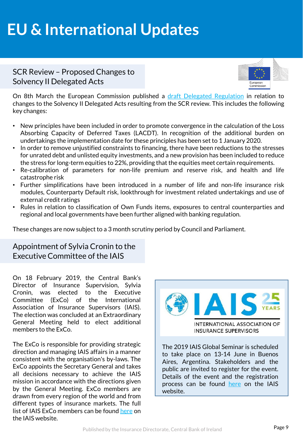# **EU & International Updates**

#### SCR Review – Proposed Changes to Solvency II Delegated Acts



On 8th March the European Commission published a draft Delegated [Regulation](https://ec.europa.eu/transparency/regdoc/rep/3/2019/EN/C-2019-1900-F1-EN-MAIN-PART-1.PDF) in relation to changes to the Solvency II Delegated Acts resulting from the SCR review. This includes the following key changes:

- New principles have been included in order to promote convergence in the calculation of the Loss Absorbing Capacity of Deferred Taxes (LACDT). In recognition of the additional burden on undertakings the implementation date for these principles has been set to 1 January 2020.
- In order to remove unjustified constraints to financing, there have been reductions to the stresses for unrated debt and unlisted equity investments, and a new provision has been included to reduce the stress for long-term equities to 22%, providing that the equities meet certain requirements.
- Re-calibration of parameters for non-life premium and reserve risk, and health and life catastrophe risk
- Further simplifications have been introduced in a number of life and non-life insurance risk modules, Counterparty Default risk, lookthrough for investment related undertakings and use of external credit ratings
- Rules in relation to classification of Own Funds items, exposures to central counterparties and regional and local governments have been further aligned with banking regulation.

These changes are now subject to a 3 month scrutiny period by Council and Parliament.

Appointment of Sylvia Cronin to the Executive Committee of the IAIS

On 18 February 2019, the Central Bank's Director of Insurance Supervision, Sylvia Cronin, was elected to the Executive Committee (ExCo) of the International Association of Insurance Supervisors (IAIS). The election was concluded at an Extraordinary General Meeting held to elect additional members to the ExCo.

The ExCo is responsible for providing strategic direction and managing IAIS affairs in a manner consistent with the organisation's by-laws. The ExCo appoints the Secretary General and takes all decisions necessary to achieve the IAIS mission in accordance with the directions given by the General Meeting. ExCo members are drawn from every region of the world and from different types of insurance markets. The full list of IAIS ExCo members can be found [here](https://www.iaisweb.org/page/about-the-iais/organisational-structure/file/80610/executive-committee-members) on the IAIS website.